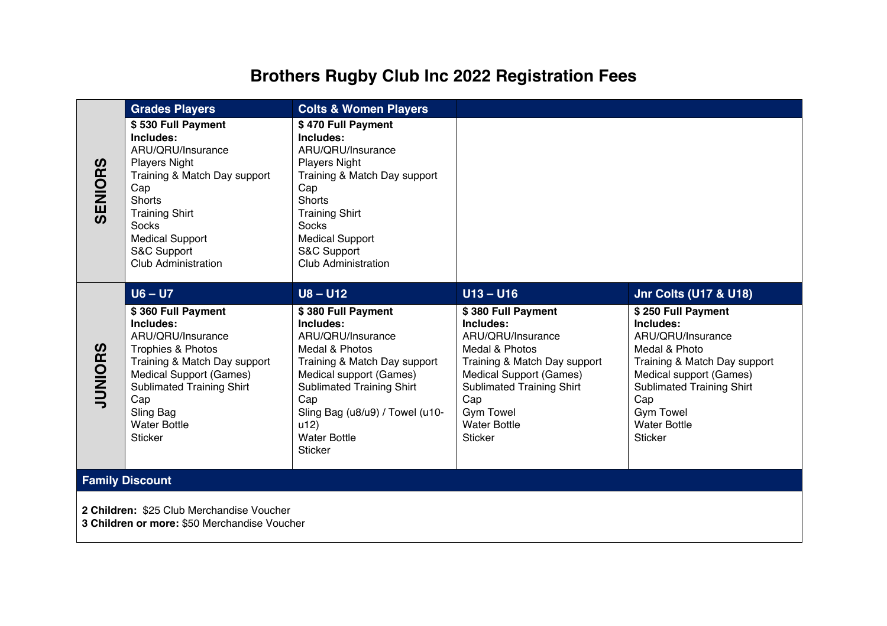## **Brothers Rugby Club Inc 2022 Registration Fees**

|                                                                                           | <b>Grades Players</b>                                                                                                                                                                                                                                     | <b>Colts &amp; Women Players</b>                                                                                                                                                                                                                                        |                                                                                                                                                                                                                                                                 |                                                                                                                                                                                                                                                                              |  |  |
|-------------------------------------------------------------------------------------------|-----------------------------------------------------------------------------------------------------------------------------------------------------------------------------------------------------------------------------------------------------------|-------------------------------------------------------------------------------------------------------------------------------------------------------------------------------------------------------------------------------------------------------------------------|-----------------------------------------------------------------------------------------------------------------------------------------------------------------------------------------------------------------------------------------------------------------|------------------------------------------------------------------------------------------------------------------------------------------------------------------------------------------------------------------------------------------------------------------------------|--|--|
| <b>SENIORS</b>                                                                            | \$530 Full Payment<br>Includes:<br>ARU/QRU/Insurance<br><b>Players Night</b><br>Training & Match Day support<br>Cap<br><b>Shorts</b><br><b>Training Shirt</b><br><b>Socks</b><br><b>Medical Support</b><br>S&C Support<br><b>Club Administration</b>      | \$470 Full Payment<br>Includes:<br>ARU/QRU/Insurance<br><b>Players Night</b><br>Training & Match Day support<br>Cap<br><b>Shorts</b><br><b>Training Shirt</b><br><b>Socks</b><br><b>Medical Support</b><br>S&C Support<br><b>Club Administration</b>                    |                                                                                                                                                                                                                                                                 |                                                                                                                                                                                                                                                                              |  |  |
| <b>JUNIORS</b>                                                                            | $U6 - U7$<br>\$360 Full Payment<br>Includes:<br>ARU/QRU/Insurance<br>Trophies & Photos<br>Training & Match Day support<br><b>Medical Support (Games)</b><br><b>Sublimated Training Shirt</b><br>Cap<br>Sling Bag<br><b>Water Bottle</b><br><b>Sticker</b> | $U8 - U12$<br>\$380 Full Payment<br>Includes:<br>ARU/QRU/Insurance<br>Medal & Photos<br>Training & Match Day support<br>Medical support (Games)<br>Sublimated Training Shirt<br>Cap<br>Sling Bag (u8/u9) / Towel (u10-<br>u12)<br><b>Water Bottle</b><br><b>Sticker</b> | $U13 - U16$<br>\$380 Full Payment<br>Includes:<br>ARU/QRU/Insurance<br>Medal & Photos<br>Training & Match Day support<br><b>Medical Support (Games)</b><br><b>Sublimated Training Shirt</b><br>Cap<br><b>Gym Towel</b><br><b>Water Bottle</b><br><b>Sticker</b> | <b>Jnr Colts (U17 &amp; U18)</b><br>\$250 Full Payment<br>Includes:<br>ARU/QRU/Insurance<br>Medal & Photo<br>Training & Match Day support<br>Medical support (Games)<br><b>Sublimated Training Shirt</b><br>Cap<br><b>Gym Towel</b><br><b>Water Bottle</b><br><b>Sticker</b> |  |  |
| <b>Family Discount</b>                                                                    |                                                                                                                                                                                                                                                           |                                                                                                                                                                                                                                                                         |                                                                                                                                                                                                                                                                 |                                                                                                                                                                                                                                                                              |  |  |
| 2 Children: \$25 Club Merchandise Voucher<br>3 Children or more: \$50 Merchandise Voucher |                                                                                                                                                                                                                                                           |                                                                                                                                                                                                                                                                         |                                                                                                                                                                                                                                                                 |                                                                                                                                                                                                                                                                              |  |  |